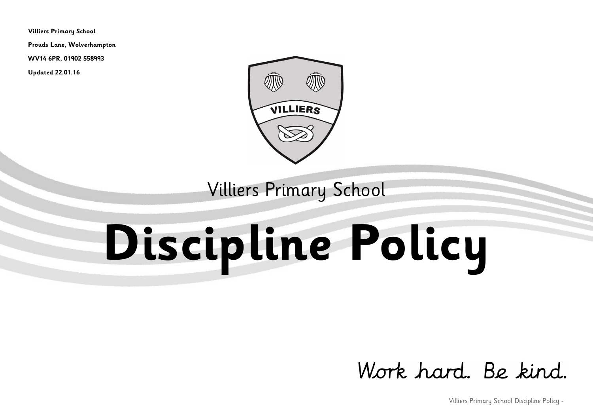**Villiers Primary School**

**Prouds Lane, Wolverhampton**

**WV14 6PR, 01902 558993**

**Updated 22.01.16**



Villiers Primary School

# **Discipline Policy**

# Work hard, Be kind.

Villiers Primary School Discipline Policy -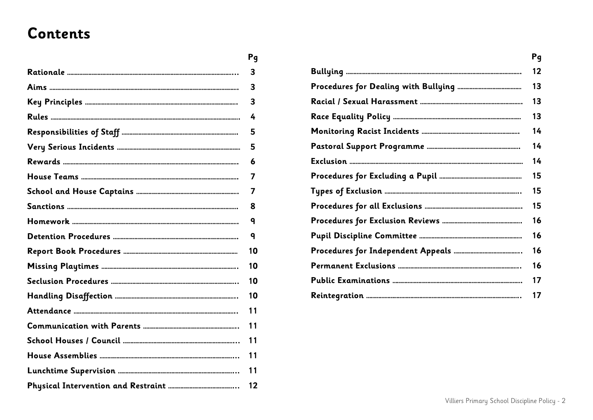# **Contents**

| Pq |
|----|
| 3  |
| 3  |
| 3  |
| 4  |
| 5  |
| 5  |
| 6  |
| 7  |
| 7  |
| 8  |
| q  |
| q  |
| 10 |
| 10 |
| 10 |
| 10 |
| 11 |
| 11 |
| 11 |
| 11 |
| 11 |
| 12 |

| Pq |
|----|
| 12 |
| 13 |
| 13 |
| 13 |
| 14 |
| 14 |
| 14 |
| 15 |
| 15 |
| 15 |
| 16 |
| 16 |
| 16 |
| 16 |
| 17 |
| 17 |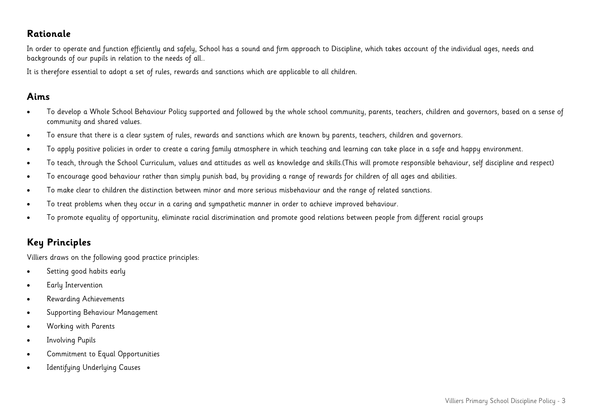#### **Rationale**

In order to operate and function efficiently and safely, School has a sound and firm approach to Discipline, which takes account of the individual ages, needs and backgrounds of our pupils in relation to the needs of all..

It is therefore essential to adopt a set of rules, rewards and sanctions which are applicable to all children.

#### **Aims**

- To develop a Whole School Behaviour Policy supported and followed by the whole school community, parents, teachers, children and governors, based on a sense of community and shared values.
- To ensure that there is a clear system of rules, rewards and sanctions which are known by parents, teachers, children and governors.
- To apply positive policies in order to create a caring family atmosphere in which teaching and learning can take place in a safe and happy environment.
- To teach, through the School Curriculum, values and attitudes as well as knowledge and skills.(This will promote responsible behaviour, self discipline and respect)
- To encourage good behaviour rather than simply punish bad, by providing a range of rewards for children of all ages and abilities.
- To make clear to children the distinction between minor and more serious misbehaviour and the range of related sanctions.
- To treat problems when they occur in a caring and sympathetic manner in order to achieve improved behaviour.
- To promote equality of opportunity, eliminate racial discrimination and promote good relations between people from different racial groups

### **Key Principles**

Villiers draws on the following good practice principles:

- Setting good habits early
- Early Intervention
- Rewarding Achievements
- Supporting Behaviour Management
- Working with Parents
- **•** Involving Pupils
- Commitment to Equal Opportunities
- Identifying Underlying Causes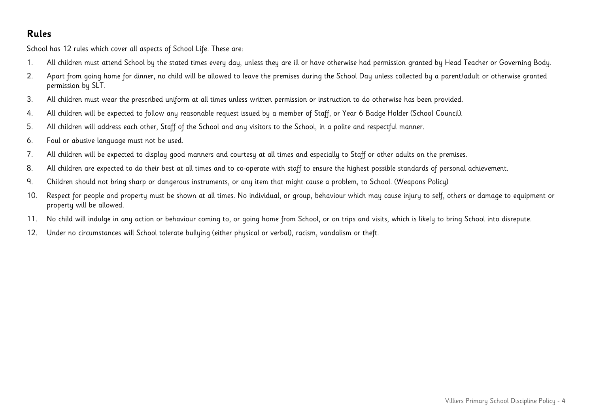#### **Rules**

School has 12 rules which cover all aspects of School Life. These are:

- 1. All children must attend School by the stated times every day, unless they are ill or have otherwise had permission granted by Head Teacher or Governing Body.
- 2. Apart from going home for dinner, no child will be allowed to leave the premises during the School Day unless collected by a parent/adult or otherwise granted permission by SLT.
- 3. All children must wear the prescribed uniform at all times unless written permission or instruction to do otherwise has been provided.
- 4. All children will be expected to follow any reasonable request issued by a member of Staff, or Year 6 Badge Holder (School Council).
- 5. All children will address each other, Staff of the School and any visitors to the School, in a polite and respectful manner.
- 6. Foul or abusive language must not be used.
- 7. All children will be expected to display good manners and courtesy at all times and especially to Staff or other adults on the premises.
- 8. All children are expected to do their best at all times and to co-operate with staff to ensure the highest possible standards of personal achievement.
- 9. Children should not bring sharp or dangerous instruments, or any item that might cause a problem, to School. (Weapons Policy)
- 10. Respect for people and property must be shown at all times. No individual, or group, behaviour which may cause injury to self, others or damage to equipment or property will be allowed.
- 11. No child will indulge in any action or behaviour coming to, or going home from School, or on trips and visits, which is likely to bring School into disrepute.
- 12. Under no circumstances will School tolerate bullying (either physical or verbal), racism, vandalism or theft.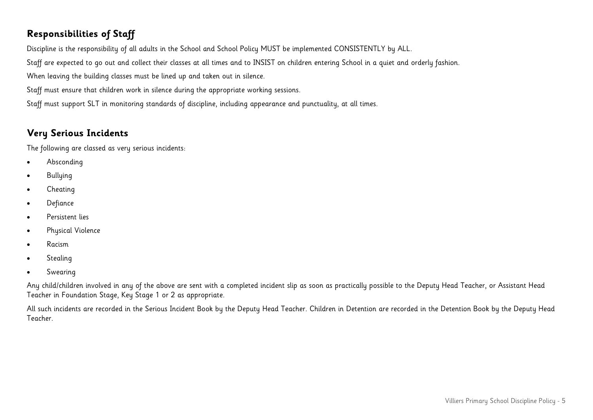# **Responsibilities of Staff**

Discipline is the responsibility of all adults in the School and School Policy MUST be implemented CONSISTENTLY by ALL.

Staff are expected to go out and collect their classes at all times and to INSIST on children entering School in a quiet and orderly fashion.

When leaving the building classes must be lined up and taken out in silence.

Staff must ensure that children work in silence during the appropriate working sessions.

Staff must support SLT in monitoring standards of discipline, including appearance and punctuality, at all times.

# **Very Serious Incidents**

The following are classed as very serious incidents:

- Absconding
- Bullying
- Cheating
- Defiance
- Persistent lies
- Physical Violence
- Racism
- Stealing
- Swearing

Any child/children involved in any of the above are sent with a completed incident slip as soon as practically possible to the Deputy Head Teacher, or Assistant Head Teacher in Foundation Stage, Key Stage 1 or 2 as appropriate.

All such incidents are recorded in the Serious Incident Book by the Deputy Head Teacher. Children in Detention are recorded in the Detention Book by the Deputy Head Teacher.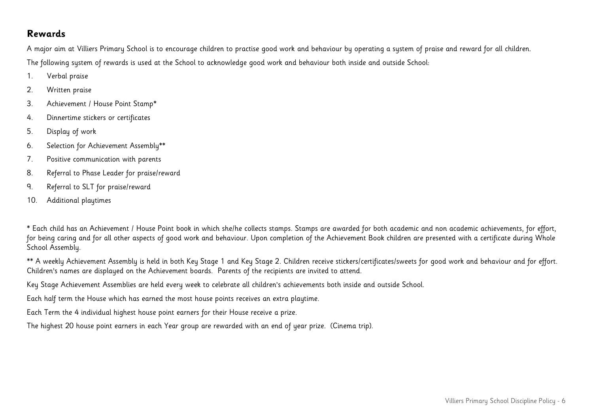#### **Rewards**

A major aim at Villiers Primary School is to encourage children to practise good work and behaviour by operating a system of praise and reward for all children. The following system of rewards is used at the School to acknowledge good work and behaviour both inside and outside School:

- 1. Verbal praise
- 2. Written praise
- 3. Achievement / House Point Stamp**\***
- 4. Dinnertime stickers or certificates
- 5. Display of work
- 6. Selection for Achievement Assembly**\*\***
- 7. Positive communication with parents
- 8. Referral to Phase Leader for praise/reward
- 9. Referral to SLT for praise/reward
- 10. Additional playtimes

**\*** Each child has an Achievement / House Point book in which she/he collects stamps. Stamps are awarded for both academic and non academic achievements, for effort, for being caring and for all other aspects of good work and behaviour. Upon completion of the Achievement Book children are presented with a certificate during Whole School Assembly.

**\*\*** A weekly Achievement Assembly is held in both Key Stage 1 and Key Stage 2. Children receive stickers/certificates/sweets for good work and behaviour and for effort. Children's names are displayed on the Achievement boards. Parents of the recipients are invited to attend.

Key Stage Achievement Assemblies are held every week to celebrate all children's achievements both inside and outside School.

Each half term the House which has earned the most house points receives an extra playtime.

Each Term the 4 individual highest house point earners for their House receive a prize.

The highest 20 house point earners in each Year group are rewarded with an end of year prize. (Cinema trip).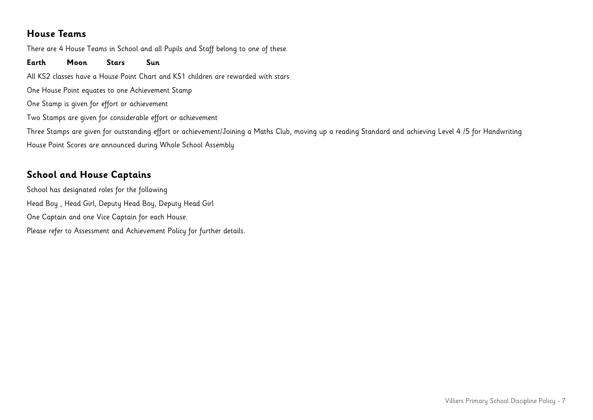#### **House Teams**

There are 4 House Teams in School and all Pupils and Staff belong to one of these.

**Earth Moon Stars Sun**  All KS2 classes have a House Point Chart and KS1 children are rewarded with stars One House Point equates to one Achievement Stamp One Stamp is given for effort or achievement Two Stamps are given for considerable effort or achievement Three Stamps are given for outstanding effort or achievement/Joining a Maths Club, moving up a reading Standard and achieving Level 4 /5 for Handwriting House Point Scores are announced during Whole School Assembly

# **School and House Captains**

School has designated roles for the following Head Boy , Head Girl, Deputy Head Boy, Deputy Head Girl One Captain and one Vice Captain for each House. Please refer to Assessment and Achievement Policy for further details.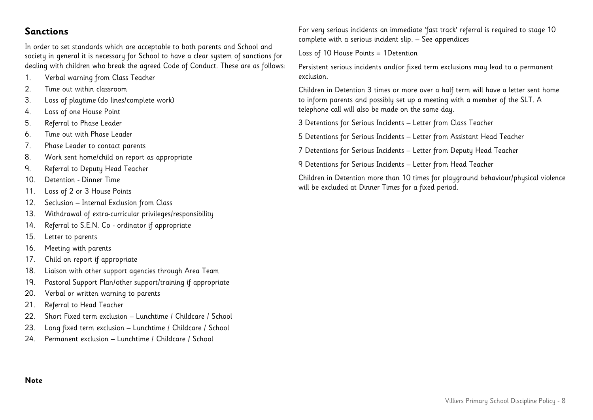#### **Sanctions**

In order to set standards which are acceptable to both parents and School and society in general it is necessary for School to have a clear system of sanctions for dealing with children who break the agreed Code of Conduct. These are as follows:

- 1. Verbal warning from Class Teacher
- 2. Time out within classroom
- 3. Loss of playtime (do lines/complete work)
- 4. Loss of one House Point
- 5. Referral to Phase Leader
- 6. Time out with Phase Leader
- 7. Phase Leader to contact parents
- 8. Work sent home/child on report as appropriate
- 9. Referral to Deputy Head Teacher
- 10. Detention Dinner Time
- 11. Loss of 2 or 3 House Points
- 12. Seclusion Internal Exclusion from Class
- 13. Withdrawal of extra-curricular privileges/responsibility
- 14. Referral to S.E.N. Co ordinator if appropriate
- 15. Letter to parents
- 16. Meeting with parents
- 17. Child on report if appropriate
- 18. Liaison with other support agencies through Area Team
- 19. Pastoral Support Plan/other support/training if appropriate
- 20. Verbal or written warning to parents
- 21. Referral to Head Teacher
- 22. Short Fixed term exclusion Lunchtime / Childcare / School
- 23. Long fixed term exclusion Lunchtime / Childcare / School
- 24. Permanent exclusion Lunchtime / Childcare / School

For very serious incidents an immediate 'fast track' referral is required to stage 10 complete with a serious incident slip. – See appendices

Loss of 10 House Points = 1Detention

Persistent serious incidents and/or fixed term exclusions may lead to a permanent exclusion.

Children in Detention 3 times or more over a half term will have a letter sent home to inform parents and possibly set up a meeting with a member of the SLT. A telephone call will also be made on the same day.

3 Detentions for Serious Incidents – Letter from Class Teacher

5 Detentions for Serious Incidents – Letter from Assistant Head Teacher

7 Detentions for Serious Incidents – Letter from Deputy Head Teacher

9 Detentions for Serious Incidents – Letter from Head Teacher

Children in Detention more than 10 times for playground behaviour/physical violence will be excluded at Dinner Times for a fixed period.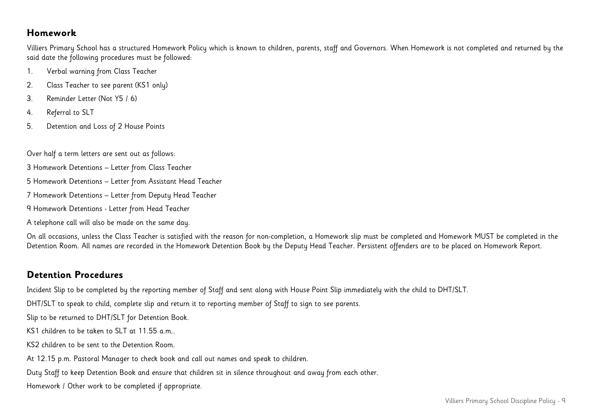#### **Homework**

Villiers Primary School has a structured Homework Policy which is known to children, parents, staff and Governors. When Homework is not completed and returned by the said date the following procedures must be followed:

- 1. Verbal warning from Class Teacher
- 2. Class Teacher to see parent (KS1 only)
- 3. Reminder Letter (Not Y5 / 6)
- 4. Referral to SLT
- 5. Detention and Loss of 2 House Points

Over half a term letters are sent out as follows:

- 3 Homework Detentions Letter from Class Teacher
- 5 Homework Detentions Letter from Assistant Head Teacher
- 7 Homework Detentions Letter from Deputy Head Teacher
- 9 Homework Detentions Letter from Head Teacher
- A telephone call will also be made on the same day.

On all occasions, unless the Class Teacher is satisfied with the reason for non-completion, a Homework slip must be completed and Homework MUST be completed in the Detention Room. All names are recorded in the Homework Detention Book by the Deputy Head Teacher. Persistent offenders are to be placed on Homework Report.

### **Detention Procedures**

Incident Slip to be completed by the reporting member of Staff and sent along with House Point Slip immediately with the child to DHT/SLT.

DHT/SLT to speak to child, complete slip and return it to reporting member of Staff to sign to see parents.

Slip to be returned to DHT/SLT for Detention Book.

KS1 children to be taken to SLT at 11.55 a.m..

KS2 children to be sent to the Detention Room.

At 12.15 p.m. Pastoral Manager to check book and call out names and speak to children.

Duty Staff to keep Detention Book and ensure that children sit in silence throughout and away from each other.

Homework / Other work to be completed if appropriate.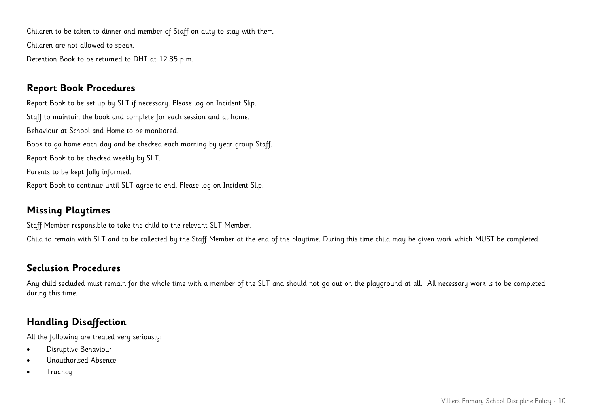Children to be taken to dinner and member of Staff on duty to stay with them. Children are not allowed to speak. Detention Book to be returned to DHT at 12.35 p.m.

#### **Report Book Procedures**

Report Book to be set up by SLT if necessary. Please log on Incident Slip. Staff to maintain the book and complete for each session and at home. Behaviour at School and Home to be monitored. Book to go home each day and be checked each morning by year group Staff. Report Book to be checked weekly by SLT. Parents to be kept fully informed. Report Book to continue until SLT agree to end. Please log on Incident Slip.

#### **Missing Playtimes**

Staff Member responsible to take the child to the relevant SLT Member.

Child to remain with SLT and to be collected by the Staff Member at the end of the playtime. During this time child may be given work which MUST be completed.

#### **Seclusion Procedures**

Any child secluded must remain for the whole time with a member of the SLT and should not go out on the playground at all. All necessary work is to be completed during this time.

# **Handling Disaffection**

All the following are treated very seriously:

- Disruptive Behaviour
- Unauthorised Absence
- **Truancu**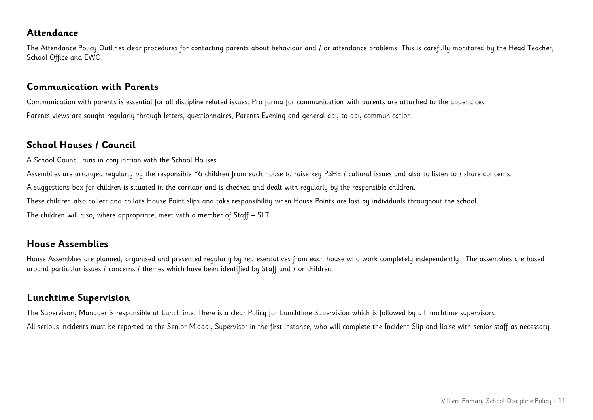#### **Attendance**

The Attendance Policy Outlines clear procedures for contacting parents about behaviour and / or attendance problems. This is carefully monitored by the Head Teacher, School Office and EWO.

#### **Communication with Parents**

Communication with parents is essential for all discipline related issues. Pro forma for communication with parents are attached to the appendices. Parents views are sought regularly through letters, questionnaires, Parents Evening and general day to day communication.

#### **School Houses / Council**

A School Council runs in conjunction with the School Houses.

Assemblies are arranged regularly by the responsible Y6 children from each house to raise key PSHE / cultural issues and also to listen to / share concerns.

A suggestions box for children is situated in the corridor and is checked and dealt with regularly by the responsible children.

These children also collect and collate House Point slips and take responsibility when House Points are lost by individuals throughout the school.

The children will also, where appropriate, meet with a member of Staff – SLT.

#### **House Assemblies**

House Assemblies are planned, organised and presented regularly by representatives from each house who work completely independently. The assemblies are based around particular issues / concerns / themes which have been identified by Staff and / or children.

#### **Lunchtime Supervision**

The Supervisory Manager is responsible at Lunchtime. There is a clear Policy for Lunchtime Supervision which is followed by all lunchtime supervisors.

All serious incidents must be reported to the Senior Midday Supervisor in the first instance, who will complete the Incident Slip and liaise with senior staff as necessary.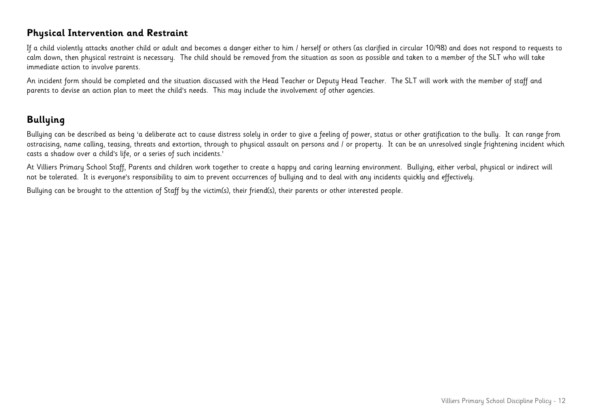#### **Physical Intervention and Restraint**

If a child violently attacks another child or adult and becomes a danger either to him / herself or others (as clarified in circular 10/98) and does not respond to requests to calm down, then physical restraint is necessary. The child should be removed from the situation as soon as possible and taken to a member of the SLT who will take immediate action to involve parents.

An incident form should be completed and the situation discussed with the Head Teacher or Deputy Head Teacher. The SLT will work with the member of staff and parents to devise an action plan to meet the child's needs. This may include the involvement of other agencies.

# **Bullying**

Bullying can be described as being 'a deliberate act to cause distress solely in order to give a feeling of power, status or other gratification to the bully. It can range from ostracising, name calling, teasing, threats and extortion, through to physical assault on persons and / or property. It can be an unresolved single frightening incident which casts a shadow over a child's life, or a series of such incidents.'

At Villiers Primary School Staff, Parents and children work together to create a happy and caring learning environment. Bullying, either verbal, physical or indirect will not be tolerated. It is everyone's responsibility to aim to prevent occurrences of bullying and to deal with any incidents quickly and effectively.

Bullying can be brought to the attention of Staff by the victim(s), their friend(s), their parents or other interested people.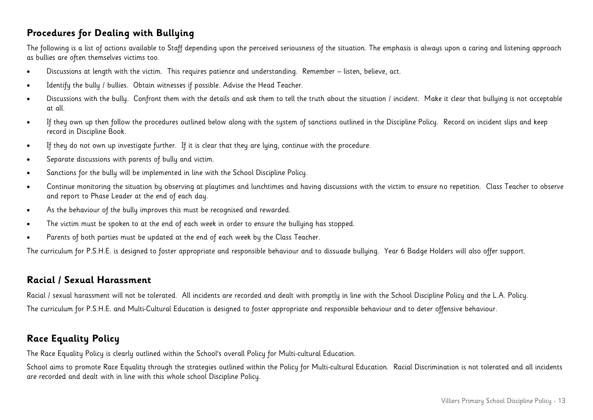#### **Procedures for Dealing with Bullying**

The following is a list of actions available to Staff depending upon the perceived seriousness of the situation. The emphasis is always upon a caring and listening approach as bullies are often themselves victims too.

- Discussions at length with the victim. This requires patience and understanding. Remember listen, believe, act.
- Identify the bully / bullies. Obtain witnesses if possible. Advise the Head Teacher.
- Discussions with the bully. Confront them with the details and ask them to tell the truth about the situation / incident. Make it clear that bullying is not acceptable at all.
- If they own up then follow the procedures outlined below along with the system of sanctions outlined in the Discipline Policy. Record on incident slips and keep record in Discipline Book.
- If they do not own up investigate further. If it is clear that they are lying, continue with the procedure.
- Separate discussions with parents of bully and victim.
- Sanctions for the bully will be implemented in line with the School Discipline Policy.
- Continue monitoring the situation by observing at playtimes and lunchtimes and having discussions with the victim to ensure no repetition. Class Teacher to observe and report to Phase Leader at the end of each day.
- As the behaviour of the bully improves this must be recognised and rewarded.
- The victim must be spoken to at the end of each week in order to ensure the bullying has stopped.
- Parents of both parties must be updated at the end of each week by the Class Teacher.

The curriculum for P.S.H.E. is designed to foster appropriate and responsible behaviour and to dissuade bullying. Year 6 Badge Holders will also offer support.

#### **Racial / Sexual Harassment**

Racial / sexual harassment will not be tolerated. All incidents are recorded and dealt with promptly in line with the School Discipline Policy and the L.A. Policy. The curriculum for P.S.H.E. and Multi-Cultural Education is designed to foster appropriate and responsible behaviour and to deter offensive behaviour.

# **Race Equality Policy**

The Race Equality Policy is clearly outlined within the School's overall Policy for Multi-cultural Education.

School aims to promote Race Equality through the strategies outlined within the Policy for Multi-cultural Education. Racial Discrimination is not tolerated and all incidents are recorded and dealt with in line with this whole school Discipline Policy.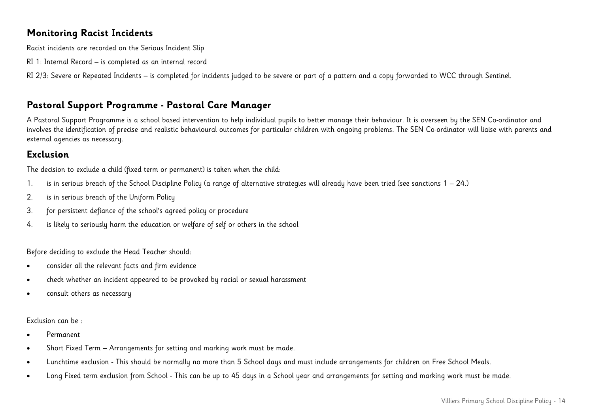#### **Monitoring Racist Incidents**

Racist incidents are recorded on the Serious Incident Slip

RI 1: Internal Record – is completed as an internal record

RI 2/3: Severe or Repeated Incidents – is completed for incidents judged to be severe or part of a pattern and a copy forwarded to WCC through Sentinel.

# **Pastoral Support Programme - Pastoral Care Manager**

A Pastoral Support Programme is a school based intervention to help individual pupils to better manage their behaviour. It is overseen by the SEN Co-ordinator and involves the identification of precise and realistic behavioural outcomes for particular children with ongoing problems. The SEN Co-ordinator will liaise with parents and external agencies as necessary.

# **Exclusion**

The decision to exclude a child (fixed term or permanent) is taken when the child:

- 1. is in serious breach of the School Discipline Policy (a range of alternative strategies will already have been tried (see sanctions 1 24.)
- 2. is in serious breach of the Uniform Policy
- 3. for persistent defiance of the school's agreed policy or procedure
- 4. is likely to seriously harm the education or welfare of self or others in the school

Before deciding to exclude the Head Teacher should:

- consider all the relevant facts and firm evidence
- check whether an incident appeared to be provoked by racial or sexual harassment
- consult others as necessary

#### Exclusion can be :

- Permanent
- Short Fixed Term Arrangements for setting and marking work must be made.
- Lunchtime exclusion This should be normally no more than 5 School days and must include arrangements for children on Free School Meals.
- Long Fixed term exclusion from School This can be up to 45 days in a School year and arrangements for setting and marking work must be made.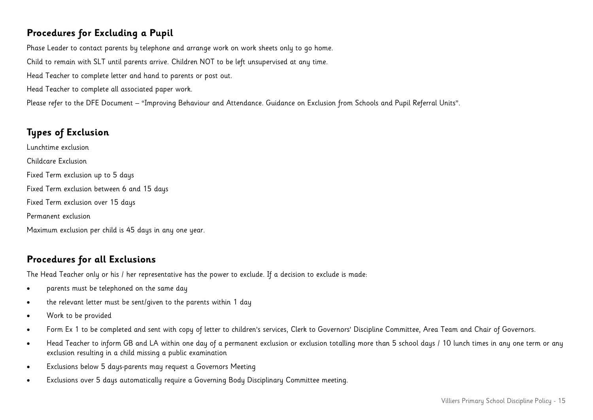# **Procedures for Excluding a Pupil**

Phase Leader to contact parents by telephone and arrange work on work sheets only to go home. Child to remain with SLT until parents arrive. Children NOT to be left unsupervised at any time. Head Teacher to complete letter and hand to parents or post out. Head Teacher to complete all associated paper work. Please refer to the DFE Document – "Improving Behaviour and Attendance. Guidance on Exclusion from Schools and Pupil Referral Units".

# **Types of Exclusion**

Lunchtime exclusion Childcare Exclusion Fixed Term exclusion up to 5 days Fixed Term exclusion between 6 and 15 days Fixed Term exclusion over 15 days Permanent exclusion Maximum exclusion per child is 45 days in any one year.

# **Procedures for all Exclusions**

The Head Teacher only or his / her representative has the power to exclude. If a decision to exclude is made:

- parents must be telephoned on the same day
- the relevant letter must be sent/given to the parents within 1 day
- Work to be provided
- Form Ex 1 to be completed and sent with copy of letter to children's services, Clerk to Governors' Discipline Committee, Area Team and Chair of Governors.
- Head Teacher to inform GB and LA within one day of a permanent exclusion or exclusion totalling more than 5 school days / 10 lunch times in any one term or any exclusion resulting in a child missing a public examination
- Exclusions below 5 days-parents may request a Governors Meeting
- Exclusions over 5 days automatically require a Governing Body Disciplinary Committee meeting.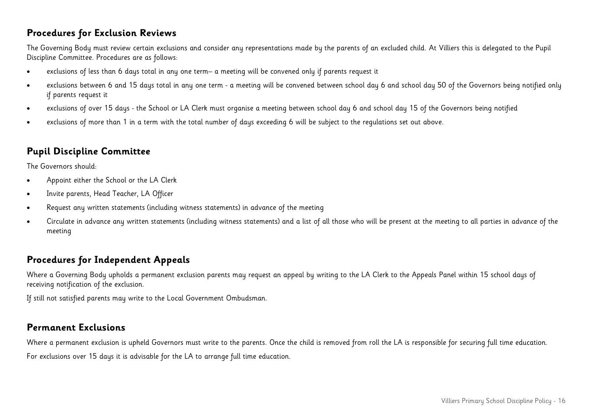#### **Procedures for Exclusion Reviews**

The Governing Body must review certain exclusions and consider any representations made by the parents of an excluded child. At Villiers this is delegated to the Pupil Discipline Committee. Procedures are as follows:

- exclusions of less than 6 days total in any one term– a meeting will be convened only if parents request it
- exclusions between 6 and 15 days total in any one term a meeting will be convened between school day 6 and school day 50 of the Governors being notified only if parents request it
- exclusions of over 15 days the School or LA Clerk must organise a meeting between school day 6 and school day 15 of the Governors being notified
- exclusions of more than 1 in a term with the total number of days exceeding 6 will be subject to the regulations set out above.

# **Pupil Discipline Committee**

The Governors should:

- Appoint either the School or the LA Clerk
- Invite parents, Head Teacher, LA Officer
- Request any written statements (including witness statements) in advance of the meeting
- Circulate in advance any written statements (including witness statements) and a list of all those who will be present at the meeting to all parties in advance of the meeting

# **Procedures for Independent Appeals**

Where a Governing Body upholds a permanent exclusion parents may request an appeal by writing to the LA Clerk to the Appeals Panel within 15 school days of receiving notification of the exclusion.

If still not satisfied parents may write to the Local Government Ombudsman.

#### **Permanent Exclusions**

Where a permanent exclusion is upheld Governors must write to the parents. Once the child is removed from roll the LA is responsible for securing full time education.

For exclusions over 15 days it is advisable for the LA to arrange full time education.